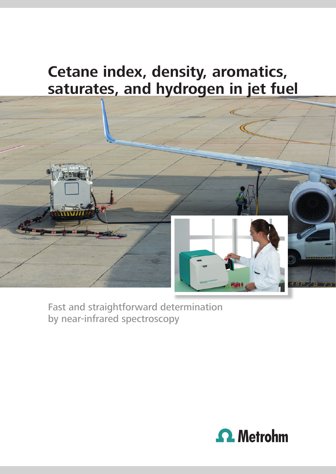# **Cetane index, density, aromatics, saturates, and hydrogen in jet fuel**



Fast and straightforward determination by near-infrared spectroscopy

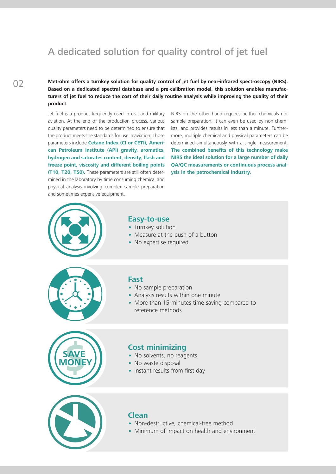### A dedicated solution for quality control of jet fuel

 $0<sub>2</sub>$ 

**Metrohm offers a turnkey solution for quality control of jet fuel by near-infrared spectroscopy (NIRS). Based on a dedicated spectral database and a pre-calibration model, this solution enables manufacturers of jet fuel to reduce the cost of their daily routine analysis while improving the quality of their product.**

Jet fuel is a product frequently used in civil and military aviation. At the end of the production process, various quality parameters need to be determined to ensure that the product meets the standards for use in aviation. Those parameters include **Cetane Index (CI or CETI), American Petroleum Institute (API) gravity, aromatics, hydrogen and saturates content, density, flash and freeze point, viscosity and different boiling points (T10, T20, T50).** These parameters are still often determined in the laboratory by time consuming chemical and physical analysis involving complex sample preparation and sometimes expensive equipment.

NIRS on the other hand requires neither chemicals nor sample preparation, it can even be used by non-chemists, and provides results in less than a minute. Furthermore, multiple chemical and physical parameters can be determined simultaneously with a single measurement. **The combined benefits of this technology make NIRS the ideal solution for a large number of daily QA/QC measurements or continuous process analysis in the petrochemical industry.**



### **Easy-to-use**

- Turnkey solution
- Measure at the push of a button
- No expertise required



### **Fast**

- No sample preparation
- Analysis results within one minute
- More than 15 minutes time saving compared to reference methods



#### **Cost minimizing**

- No solvents, no reagents
- No waste disposal
- Instant results from first day



#### **Clean**

- Non-destructive, chemical-free method
- Minimum of impact on health and environment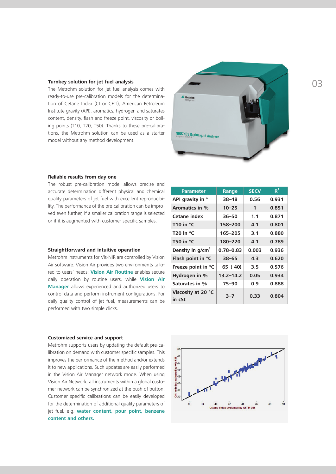The Metrohm solution for jet fuel analysis comes with ready-to-use pre-calibration models for the determination of Cetane Index (CI or CETI), American Petroleum Institute gravity (API), aromatics, hydrogen and saturates content, density, flash and freeze point, viscosity or boiling points (T10, T20, T50). Thanks to these pre-calibrations, the Metrohm solution can be used as a starter model without any method development.



#### **Reliable results from day one**

The robust pre-calibration model allows precise and accurate determination different physical and chemical quality parameters of jet fuel with excellent reproducibility. The performance of the pre-calibration can be improved even further, if a smaller calibration range is selected or if it is augmented with customer specific samples.

#### **Straightforward and intuitive operation**

Metrohm instruments for Vis-NIR are controlled by Vision Air software. Vision Air provides two environments tailored to users' needs: **Vision Air Routine** enables secure daily operation by routine users, while **Vision Air Manager** allows experienced and authorized users to control data and perform instrument configurations. For daily quality control of jet fuel, measurements can be performed with two simple clicks.

#### **Parameter Range SECV R**<sup>2</sup> **API gravity in ° 38–48 0.56 0.931 Aromatics in % 10–25 1 0.851 Cetane index 36–50 1.1 0.871 T10 in °C 158–200 4.1 0.801 T20 in °C 165–205 3.1 0.880 T50 in °C 180–220 4.1 0.789 Density in g/cm3 0.78–0.83 0.003 0.936 Flash point in °C 38–65 4.3 0.620 Freeze point in °C -65–(-40) 3.5 0.576 Hydrogen in % 13.2–14.2 0.05 0.934 Saturates in % 75–90 0.9 0.888 Viscosity at 20 °C in cSt 3–7 0.33 0.804**

#### **Customized service and support**

Metrohm supports users by updating the default pre-calibration on demand with customer specific samples. This improves the performance of the method and/or extends it to new applications. Such updates are easily performed in the Vision Air Manager network mode. When using Vision Air Network, all instruments within a global customer network can be synchronized at the push of button. Customer specific calibrations can be easily developed for the determination of additional quality parameters of jet fuel, e.g. **water content, pour point, benzene content and others.**